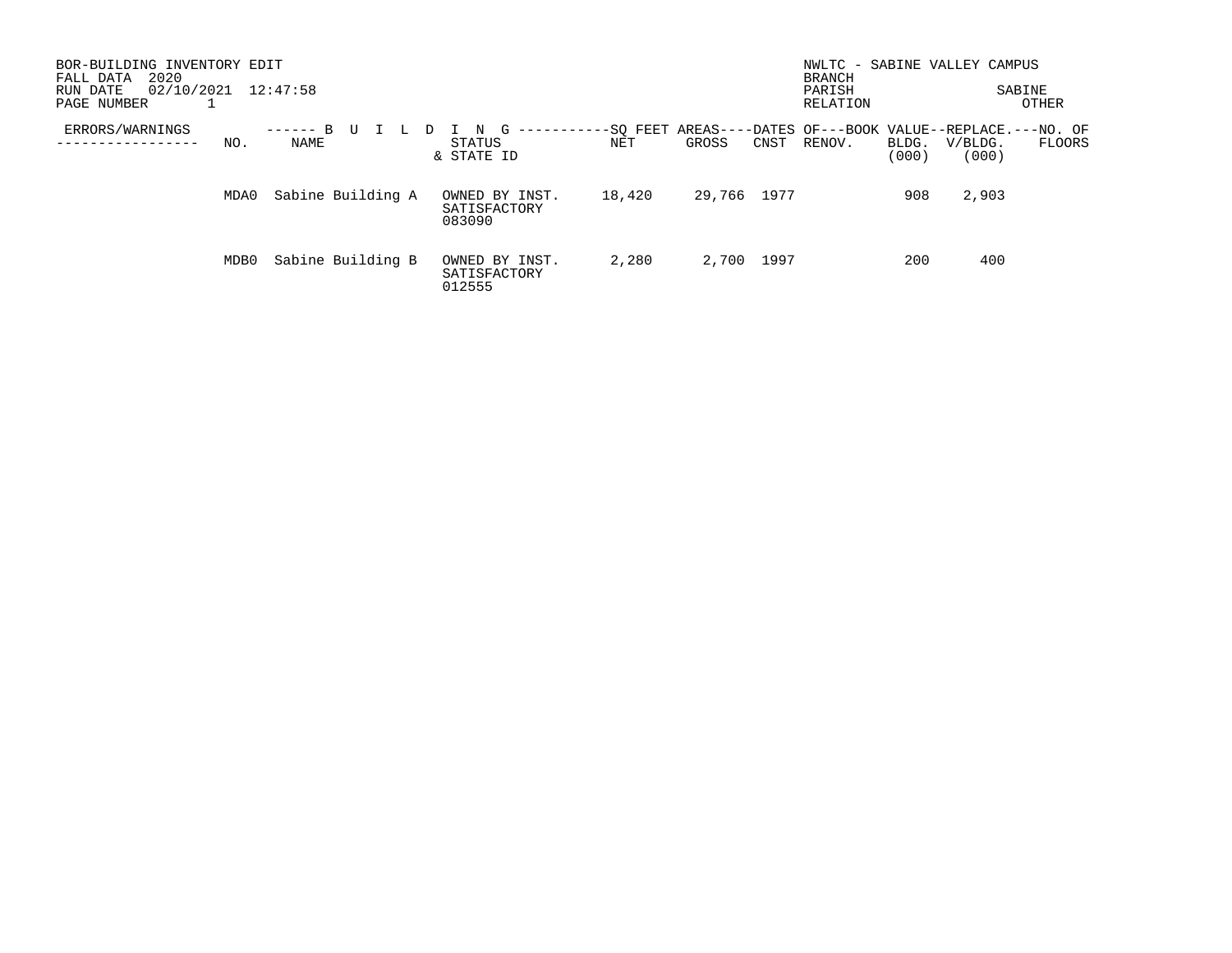| BOR-BUILDING INVENTORY EDIT<br>2020<br>FALL DATA  |      |                 |                   |  |                           |                 |  |        | NWLTC - SABINE VALLEY CAMPUS<br><b>BRANCH</b><br>PARISH<br>RELATION |      | SABINE<br>OTHER                                                      |                |                  |        |
|---------------------------------------------------|------|-----------------|-------------------|--|---------------------------|-----------------|--|--------|---------------------------------------------------------------------|------|----------------------------------------------------------------------|----------------|------------------|--------|
| 02/10/2021<br>12:47:58<br>RUN DATE<br>PAGE NUMBER |      |                 |                   |  |                           |                 |  |        |                                                                     |      |                                                                      |                |                  |        |
| ERRORS/WARNINGS                                   | NO.  | -------<br>NAME |                   |  | N<br>STATUS<br>& STATE ID | ----------<br>G |  | NET    | GROSS                                                               | CNST | -SO FEET AREAS----DATES OF---BOOK VALUE--REPLACE.---NO. OF<br>RENOV. | BLDG.<br>(000) | V/BLDG.<br>(000) | FLOORS |
|                                                   | MDA0 |                 | Sabine Building A |  | SATISFACTORY<br>083090    | OWNED BY INST.  |  | 18,420 | 29,766                                                              | 1977 |                                                                      | 908            | 2,903            |        |
|                                                   | MDB0 |                 | Sabine Building B |  | SATISFACTORY<br>012555    | OWNED BY INST.  |  | 2,280  | 2,700                                                               | 1997 |                                                                      | 200            | 400              |        |